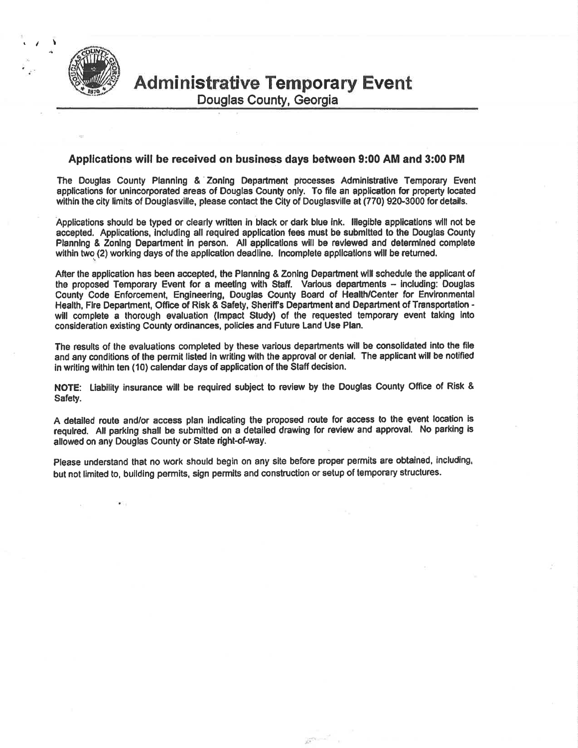

Douglas County, Georgia

### Applications will be received on business days between 9:00 AM and 3:00 PM

The Douglas County Planning & Zoning Department processes Administrative Temporary Event applications for unincorporated areas of Douglas County only. To file an application for property located within the city limits of Douglasville, please contact the City of Douglasville at (770) 920-3000 for details.

Applications should be typed or clearly written in black or dark blue ink. Illegible applications will not be accepted. Applications, including all required application fees must be submitted to the Douglas County Planning & Zoning Department in person. All applications will be reviewed and determined complete within two (2) working days of the application deadline. Incomplete applications will be returned.

After the application has been accepted, the Planning & Zoning Department will schedule the applicant of the proposed Temporary Event for a meeting with Staff. Various departments - including: Douglas<br>County Code Enforcement, Engineering, Douglas County Board of Health/Center for Environmental Health, Fire Department, Office of Risk & Safety, Sheriff's Department and Department of Transportation will complete a thorough evaluation (Impact Study) of the requested temporary event taking into consideration existing County ordinances, policies and Future Land Use Plan.

The results of the evaluations completed by these various departments will be consolidated into the file and any conditions of the permit listed in writing with the approval or denial. The applicant will be notified in writing within ten (10) calendar days of application of the Staff decision.

NOTE: Liability insurance will be required subject to review by the Douglas County Office of Risk & Safety.

A detailed route and/or access plan indicating the proposed route for access to the event location is required. All parking shall be submitted on a detailed drawing for review and approval. No parking is allowed on any Douglas County or State right-of-way.

Please understand that no work should begin on any site before proper permits are obtained, including, but not limited to, building permits, sign permits and construction or setup of temporary structures.

 $\mathbb{R}^2$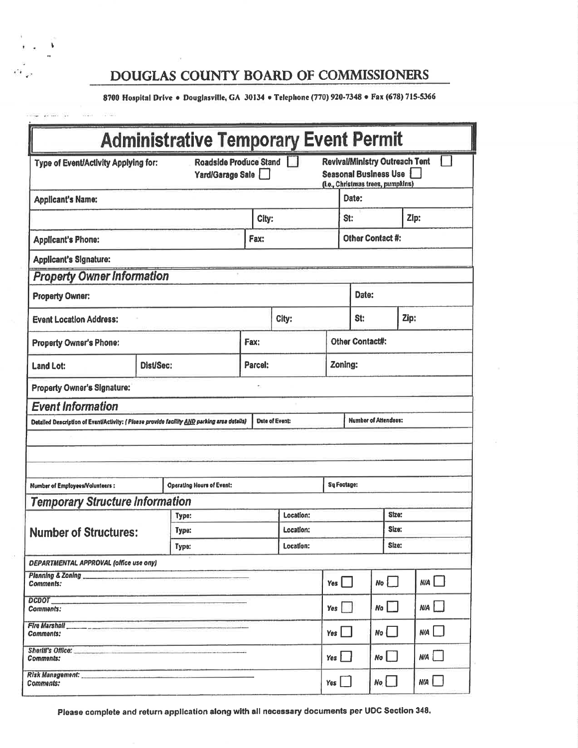# DOUGLAS COUNTY BOARD OF COMMISSIONERS

8700 Hospital Drive . Douglasville, GA 30134 . Telephone (770) 920-7348 . Fax (678) 715-5366

|                                                                                            |           | <b>Administrative Temporary Event Permit</b> |                        |                                                      |                                                                                                            |                        |       |              |  |
|--------------------------------------------------------------------------------------------|-----------|----------------------------------------------|------------------------|------------------------------------------------------|------------------------------------------------------------------------------------------------------------|------------------------|-------|--------------|--|
| Type of Event/Activity Applying for:<br>Yard/Garage Sale                                   |           |                                              | Roadside Produce Stand |                                                      | <b>Revival/Ministry Outreach Tent</b><br><b>Seasonal Business Use</b><br>(i.e., Christmas trees, pumpkins) |                        |       |              |  |
| <b>Applicant's Name:</b>                                                                   |           |                                              |                        |                                                      |                                                                                                            | Date:                  |       |              |  |
|                                                                                            |           |                                              | City:                  |                                                      |                                                                                                            | St:                    |       | Zip:         |  |
| <b>Applicant's Phone:</b>                                                                  |           |                                              | Fax:                   |                                                      |                                                                                                            | Other Contact #:       |       |              |  |
| <b>Applicant's Signature:</b>                                                              |           |                                              |                        |                                                      |                                                                                                            |                        |       |              |  |
| <b>Property Owner Information</b>                                                          |           |                                              |                        |                                                      |                                                                                                            |                        |       |              |  |
| <b>Property Owner:</b>                                                                     |           |                                              |                        |                                                      |                                                                                                            | Date:                  |       |              |  |
| <b>Event Location Address:</b>                                                             |           |                                              |                        | City:                                                |                                                                                                            | St:                    | Zip:  |              |  |
| <b>Property Owner's Phone:</b>                                                             |           |                                              | Fax:                   |                                                      |                                                                                                            | <b>Other Contact#:</b> |       |              |  |
| <b>Land Lot:</b>                                                                           | Dist/Sec: |                                              | Parcel:                |                                                      |                                                                                                            | Zoning:                |       |              |  |
| <b>Property Owner's Signature:</b>                                                         |           |                                              |                        |                                                      |                                                                                                            |                        |       |              |  |
| <b>Event Information</b>                                                                   |           |                                              |                        |                                                      |                                                                                                            |                        |       |              |  |
| Detailed Description of Event/Activity: (Please provide facility AND parking area details) |           |                                              |                        | <b>Number of Attendees:</b><br><b>Date of Event:</b> |                                                                                                            |                        |       |              |  |
|                                                                                            |           |                                              |                        |                                                      |                                                                                                            |                        |       |              |  |
|                                                                                            |           |                                              |                        |                                                      |                                                                                                            |                        |       |              |  |
| <b>Operating Hours of Event:</b><br><b>Number of Employees/Volunteers:</b>                 |           |                                              |                        |                                                      |                                                                                                            | Sq Footage:            |       |              |  |
| <b>Temporary Structure Information</b>                                                     |           |                                              |                        |                                                      |                                                                                                            |                        |       |              |  |
| <b>Number of Structures:</b>                                                               |           | Type:                                        |                        | Location:                                            |                                                                                                            |                        | Size: |              |  |
|                                                                                            |           | Type:                                        |                        | Location:                                            |                                                                                                            | Size:                  |       |              |  |
|                                                                                            |           | Type:                                        |                        | Location:                                            |                                                                                                            |                        | Size: |              |  |
| <b>DEPARTMENTAL APPROVAL (office use ony)</b>                                              |           |                                              |                        |                                                      |                                                                                                            |                        |       |              |  |
| Planning & Zoning<br>Comments:                                                             |           |                                              |                        |                                                      | Yes $\Box$                                                                                                 |                        | $N_0$ | N/A          |  |
| DCDOT_<br>Comments:                                                                        |           |                                              |                        |                                                      | Yes                                                                                                        | N/A<br>No              |       |              |  |
| Fire Marshall<br><b>Comments:</b>                                                          |           |                                              |                        |                                                      | Yes $\Box$                                                                                                 | $N/A$ $\Box$<br>No     |       |              |  |
| Sheriff's Office: _<br>Comments:                                                           |           |                                              |                        |                                                      | Yes j                                                                                                      |                        | No    | $N/A$ $\Box$ |  |
| <b>Comments:</b>                                                                           |           |                                              |                        |                                                      |                                                                                                            | Yes $\Box$             | No    | N/A          |  |

Please complete and return application along with all necessary documents per UDC Section 348.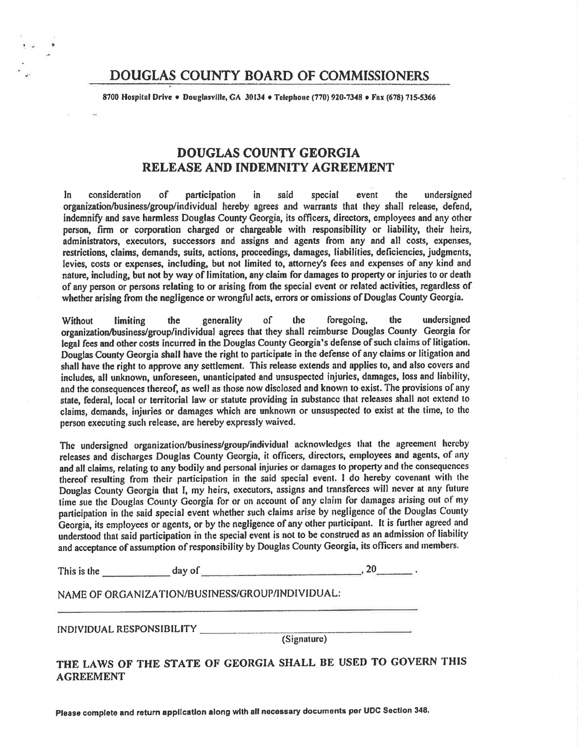# DOUGLAS COUNTY BOARD OF COMMISSIONERS

8700 Hospital Drive . Douglasville, GA 30134 . Telephone (770) 920-7348 . Fax (678) 715-5366

# **DOUGLAS COUNTY GEORGIA** RELEASE AND INDEMNITY AGREEMENT

In. consideration of participation in. said special event the undersigned organization/business/group/individual hereby agrees and warrants that they shall release, defend, indemnify and save harmless Douglas County Georgia, its officers, directors, employees and any other person, firm or corporation charged or chargeable with responsibility or liability, their heirs, administrators, executors, successors and assigns and agents from any and all costs, expenses, restrictions, claims, demands, suits, actions, proceedings, damages, liabilities, deficiencies, judgments, levies, costs or expenses, including, but not limited to, attorney's fees and expenses of any kind and nature, including, but not by way of limitation, any claim for damages to property or injuries to or death of any person or persons relating to or arising from the special event or related activities, regardless of whether arising from the negligence or wrongful acts, errors or omissions of Douglas County Georgia.

foregoing. the undersigned the generality  $\alpha$  $\Gamma$ the **Without** limiting organization/business/group/individual agrees that they shall reimburse Douglas County Georgia for legal fees and other costs incurred in the Douglas County Georgia's defense of such claims of litigation. Douglas County Georgia shall have the right to participate in the defense of any claims or litigation and shall have the right to approve any settlement. This release extends and applies to, and also covers and includes, all unknown, unforeseen, unanticipated and unsuspected injuries, damages, loss and liability, and the consequences thereof, as well as those now disclosed and known to exist. The provisions of any state, federal, local or territorial law or statute providing in substance that releases shall not extend to claims, demands, injuries or damages which are unknown or unsuspected to exist at the time, to the person executing such release, are hereby expressly waived.

The undersigned organization/business/group/individual acknowledges that the agreement hereby releases and discharges Douglas County Georgia, it officers, directors, employees and agents, of any and all claims, relating to any bodily and personal injuries or damages to property and the consequences thereof resulting from their participation in the said special event. I do hereby covenant with the Douglas County Georgia that I, my heirs, executors, assigns and transferees will never at any future time sue the Douglas County Georgia for or on account of any claim for damages arising out of my participation in the said special event whether such claims arise by negligence of the Douglas County Georgia, its employees or agents, or by the negligence of any other participant. It is further agreed and understood that said participation in the special event is not to be construed as an admission of liability and acceptance of assumption of responsibility by Douglas County Georgia, its officers and members.

This is the  $\frac{1}{\sqrt{1-\frac{1}{2}}}\frac{dy}{dx}$  day of  $\frac{1}{\sqrt{1-\frac{1}{2}}}\frac{dy}{dx}$  $, 20$ .

NAME OF ORGANIZATION/BUSINESS/GROUP/INDIVIDUAL:

INDIVIDUAL RESPONSIBILITY

(Signature)

THE LAWS OF THE STATE OF GEORGIA SHALL BE USED TO GOVERN THIS **AGREEMENT** 

Please complete and return application along with all necessary documents per UDC Section 348.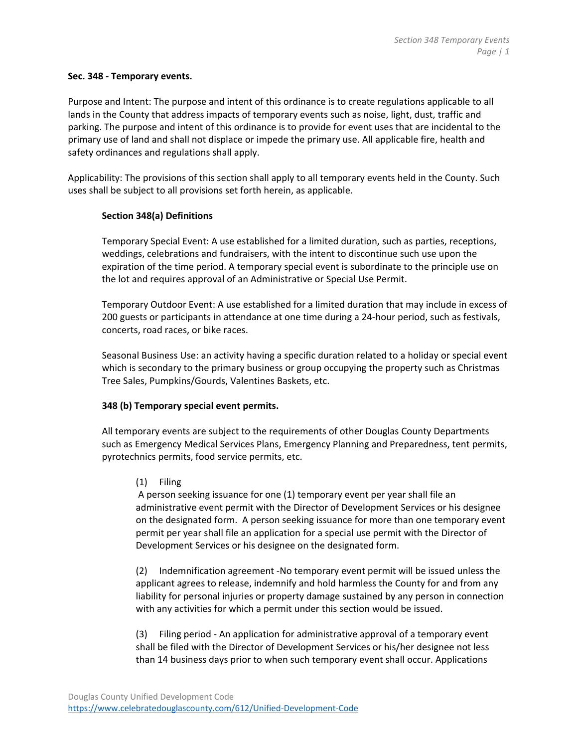### **Sec. 348 ‐ Temporary events.**

Purpose and Intent: The purpose and intent of this ordinance is to create regulations applicable to all lands in the County that address impacts of temporary events such as noise, light, dust, traffic and parking. The purpose and intent of this ordinance is to provide for event uses that are incidental to the primary use of land and shall not displace or impede the primary use. All applicable fire, health and safety ordinances and regulations shall apply.

Applicability: The provisions of this section shall apply to all temporary events held in the County. Such uses shall be subject to all provisions set forth herein, as applicable.

## **Section 348(a) Definitions**

Temporary Special Event: A use established for a limited duration, such as parties, receptions, weddings, celebrations and fundraisers, with the intent to discontinue such use upon the expiration of the time period. A temporary special event is subordinate to the principle use on the lot and requires approval of an Administrative or Special Use Permit.

Temporary Outdoor Event: A use established for a limited duration that may include in excess of 200 guests or participants in attendance at one time during a 24‐hour period, such as festivals, concerts, road races, or bike races.

Seasonal Business Use: an activity having a specific duration related to a holiday or special event which is secondary to the primary business or group occupying the property such as Christmas Tree Sales, Pumpkins/Gourds, Valentines Baskets, etc.

## **348 (b) Temporary special event permits.**

All temporary events are subject to the requirements of other Douglas County Departments such as Emergency Medical Services Plans, Emergency Planning and Preparedness, tent permits, pyrotechnics permits, food service permits, etc.

#### (1) Filing

A person seeking issuance for one (1) temporary event per year shall file an administrative event permit with the Director of Development Services or his designee on the designated form. A person seeking issuance for more than one temporary event permit per year shall file an application for a special use permit with the Director of Development Services or his designee on the designated form.

(2) Indemnification agreement ‐No temporary event permit will be issued unless the applicant agrees to release, indemnify and hold harmless the County for and from any liability for personal injuries or property damage sustained by any person in connection with any activities for which a permit under this section would be issued.

(3) Filing period ‐ An application for administrative approval of a temporary event shall be filed with the Director of Development Services or his/her designee not less than 14 business days prior to when such temporary event shall occur. Applications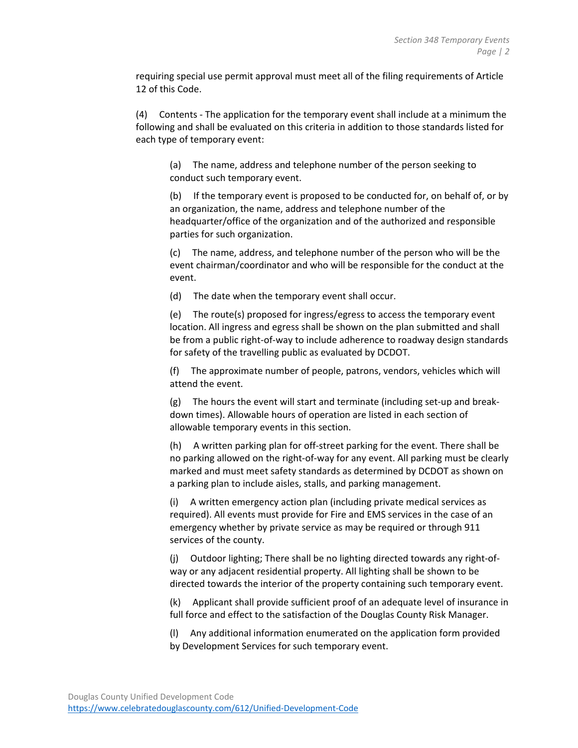requiring special use permit approval must meet all of the filing requirements of Article 12 of this Code.

(4) Contents ‐ The application for the temporary event shall include at a minimum the following and shall be evaluated on this criteria in addition to those standards listed for each type of temporary event:

(a) The name, address and telephone number of the person seeking to conduct such temporary event.

(b) If the temporary event is proposed to be conducted for, on behalf of, or by an organization, the name, address and telephone number of the headquarter/office of the organization and of the authorized and responsible parties for such organization.

(c) The name, address, and telephone number of the person who will be the event chairman/coordinator and who will be responsible for the conduct at the event.

(d) The date when the temporary event shall occur.

(e) The route(s) proposed for ingress/egress to access the temporary event location. All ingress and egress shall be shown on the plan submitted and shall be from a public right‐of‐way to include adherence to roadway design standards for safety of the travelling public as evaluated by DCDOT.

(f) The approximate number of people, patrons, vendors, vehicles which will attend the event.

 $(g)$  The hours the event will start and terminate (including set-up and breakdown times). Allowable hours of operation are listed in each section of allowable temporary events in this section.

(h) A written parking plan for off‐street parking for the event. There shall be no parking allowed on the right‐of‐way for any event. All parking must be clearly marked and must meet safety standards as determined by DCDOT as shown on a parking plan to include aisles, stalls, and parking management.

(i) A written emergency action plan (including private medical services as required). All events must provide for Fire and EMS services in the case of an emergency whether by private service as may be required or through 911 services of the county.

(j) Outdoor lighting; There shall be no lighting directed towards any right‐of‐ way or any adjacent residential property. All lighting shall be shown to be directed towards the interior of the property containing such temporary event.

(k) Applicant shall provide sufficient proof of an adequate level of insurance in full force and effect to the satisfaction of the Douglas County Risk Manager.

(l) Any additional information enumerated on the application form provided by Development Services for such temporary event.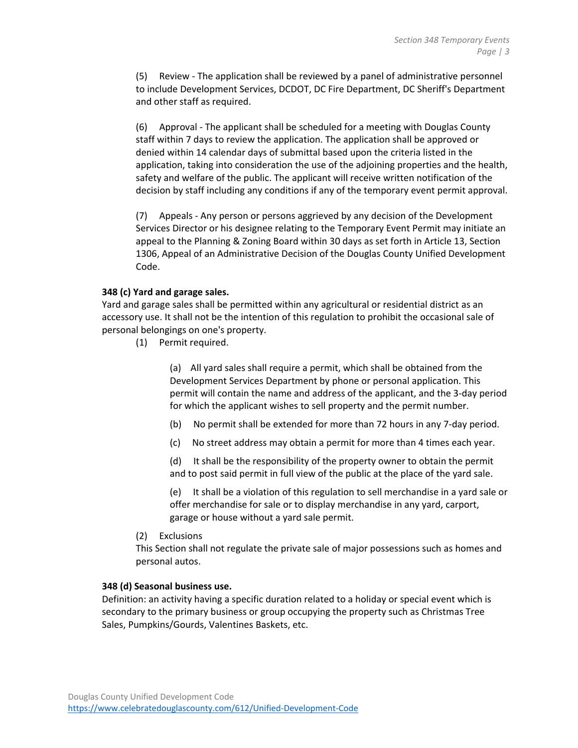(5) Review ‐ The application shall be reviewed by a panel of administrative personnel to include Development Services, DCDOT, DC Fire Department, DC Sheriff's Department and other staff as required.

(6) Approval ‐ The applicant shall be scheduled for a meeting with Douglas County staff within 7 days to review the application. The application shall be approved or denied within 14 calendar days of submittal based upon the criteria listed in the application, taking into consideration the use of the adjoining properties and the health, safety and welfare of the public. The applicant will receive written notification of the decision by staff including any conditions if any of the temporary event permit approval.

(7) Appeals ‐ Any person or persons aggrieved by any decision of the Development Services Director or his designee relating to the Temporary Event Permit may initiate an appeal to the Planning & Zoning Board within 30 days as set forth in Article 13, Section 1306, Appeal of an Administrative Decision of the Douglas County Unified Development Code.

#### **348 (c) Yard and garage sales.**

Yard and garage sales shall be permitted within any agricultural or residential district as an accessory use. It shall not be the intention of this regulation to prohibit the occasional sale of personal belongings on one's property.

(1) Permit required.

(a) All yard sales shall require a permit, which shall be obtained from the Development Services Department by phone or personal application. This permit will contain the name and address of the applicant, and the 3‐day period for which the applicant wishes to sell property and the permit number.

- (b) No permit shall be extended for more than 72 hours in any 7‐day period.
- (c) No street address may obtain a permit for more than 4 times each year.

(d) It shall be the responsibility of the property owner to obtain the permit and to post said permit in full view of the public at the place of the yard sale.

(e) It shall be a violation of this regulation to sell merchandise in a yard sale or offer merchandise for sale or to display merchandise in any yard, carport, garage or house without a yard sale permit.

(2) Exclusions

This Section shall not regulate the private sale of major possessions such as homes and personal autos.

### **348 (d) Seasonal business use.**

Definition: an activity having a specific duration related to a holiday or special event which is secondary to the primary business or group occupying the property such as Christmas Tree Sales, Pumpkins/Gourds, Valentines Baskets, etc.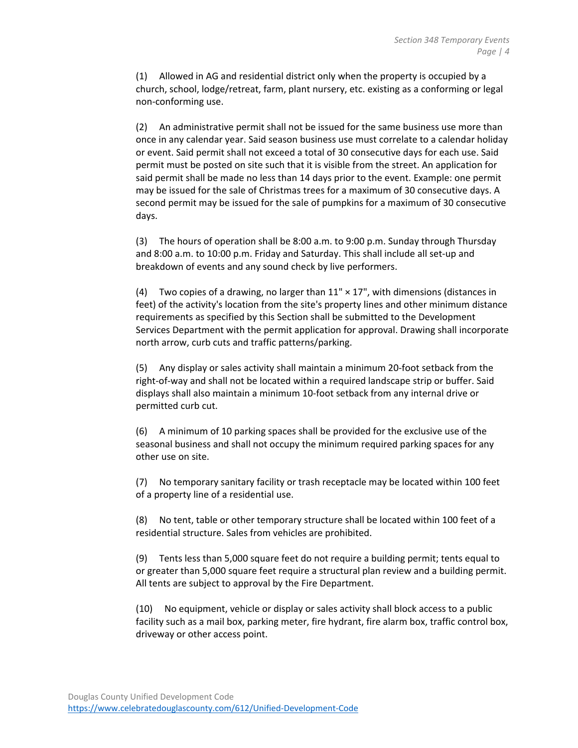(1) Allowed in AG and residential district only when the property is occupied by a church, school, lodge/retreat, farm, plant nursery, etc. existing as a conforming or legal non‐conforming use.

(2) An administrative permit shall not be issued for the same business use more than once in any calendar year. Said season business use must correlate to a calendar holiday or event. Said permit shall not exceed a total of 30 consecutive days for each use. Said permit must be posted on site such that it is visible from the street. An application for said permit shall be made no less than 14 days prior to the event. Example: one permit may be issued for the sale of Christmas trees for a maximum of 30 consecutive days. A second permit may be issued for the sale of pumpkins for a maximum of 30 consecutive days.

(3) The hours of operation shall be 8:00 a.m. to 9:00 p.m. Sunday through Thursday and 8:00 a.m. to 10:00 p.m. Friday and Saturday. This shall include all set‐up and breakdown of events and any sound check by live performers.

(4) Two copies of a drawing, no larger than  $11'' \times 17''$ , with dimensions (distances in feet) of the activity's location from the site's property lines and other minimum distance requirements as specified by this Section shall be submitted to the Development Services Department with the permit application for approval. Drawing shall incorporate north arrow, curb cuts and traffic patterns/parking.

(5) Any display or sales activity shall maintain a minimum 20‐foot setback from the right‐of‐way and shall not be located within a required landscape strip or buffer. Said displays shall also maintain a minimum 10‐foot setback from any internal drive or permitted curb cut.

(6) A minimum of 10 parking spaces shall be provided for the exclusive use of the seasonal business and shall not occupy the minimum required parking spaces for any other use on site.

(7) No temporary sanitary facility or trash receptacle may be located within 100 feet of a property line of a residential use.

(8) No tent, table or other temporary structure shall be located within 100 feet of a residential structure. Sales from vehicles are prohibited.

(9) Tents less than 5,000 square feet do not require a building permit; tents equal to or greater than 5,000 square feet require a structural plan review and a building permit. All tents are subject to approval by the Fire Department.

(10) No equipment, vehicle or display or sales activity shall block access to a public facility such as a mail box, parking meter, fire hydrant, fire alarm box, traffic control box, driveway or other access point.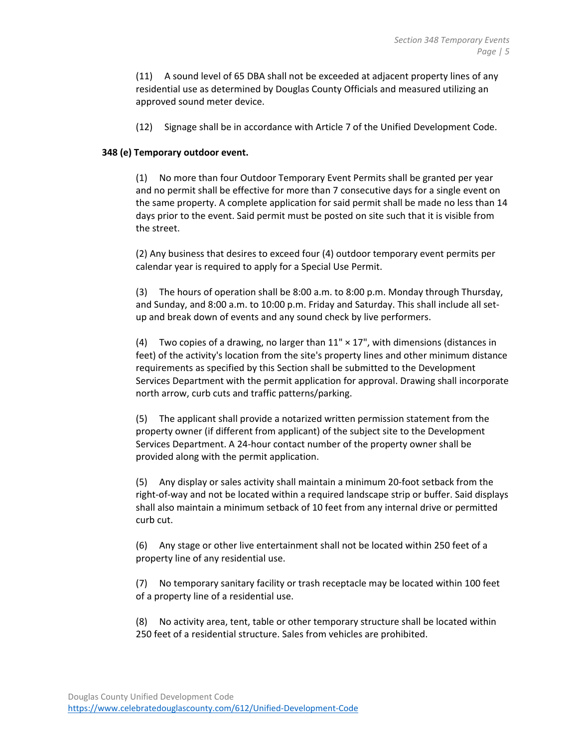(11) A sound level of 65 DBA shall not be exceeded at adjacent property lines of any residential use as determined by Douglas County Officials and measured utilizing an approved sound meter device.

(12) Signage shall be in accordance with Article 7 of the Unified Development Code.

#### **348 (e) Temporary outdoor event.**

(1) No more than four Outdoor Temporary Event Permits shall be granted per year and no permit shall be effective for more than 7 consecutive days for a single event on the same property. A complete application for said permit shall be made no less than 14 days prior to the event. Said permit must be posted on site such that it is visible from the street.

(2) Any business that desires to exceed four (4) outdoor temporary event permits per calendar year is required to apply for a Special Use Permit.

(3) The hours of operation shall be 8:00 a.m. to 8:00 p.m. Monday through Thursday, and Sunday, and 8:00 a.m. to 10:00 p.m. Friday and Saturday. This shall include all set‐ up and break down of events and any sound check by live performers.

(4) Two copies of a drawing, no larger than  $11'' \times 17''$ , with dimensions (distances in feet) of the activity's location from the site's property lines and other minimum distance requirements as specified by this Section shall be submitted to the Development Services Department with the permit application for approval. Drawing shall incorporate north arrow, curb cuts and traffic patterns/parking.

(5) The applicant shall provide a notarized written permission statement from the property owner (if different from applicant) of the subject site to the Development Services Department. A 24‐hour contact number of the property owner shall be provided along with the permit application.

(5) Any display or sales activity shall maintain a minimum 20‐foot setback from the right‐of‐way and not be located within a required landscape strip or buffer. Said displays shall also maintain a minimum setback of 10 feet from any internal drive or permitted curb cut.

(6) Any stage or other live entertainment shall not be located within 250 feet of a property line of any residential use.

(7) No temporary sanitary facility or trash receptacle may be located within 100 feet of a property line of a residential use.

(8) No activity area, tent, table or other temporary structure shall be located within 250 feet of a residential structure. Sales from vehicles are prohibited.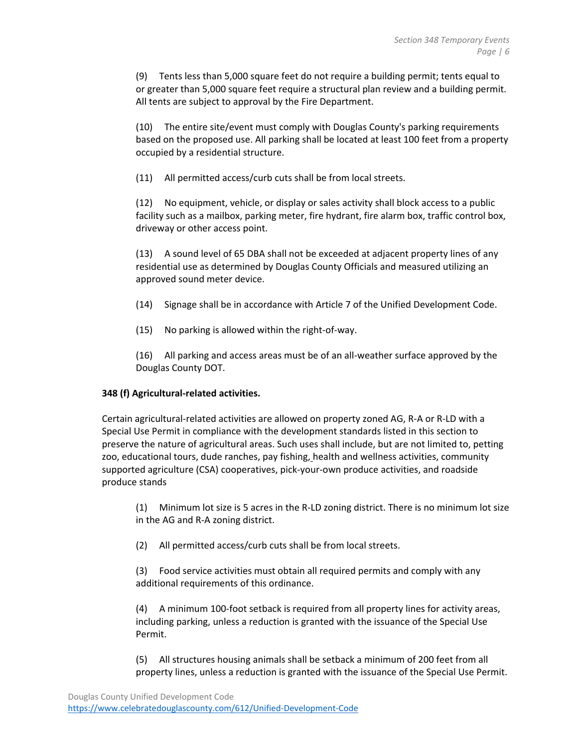(9) Tents less than 5,000 square feet do not require a building permit; tents equal to or greater than 5,000 square feet require a structural plan review and a building permit. All tents are subject to approval by the Fire Department.

(10) The entire site/event must comply with Douglas County's parking requirements based on the proposed use. All parking shall be located at least 100 feet from a property occupied by a residential structure.

(11) All permitted access/curb cuts shall be from local streets.

(12) No equipment, vehicle, or display or sales activity shall block access to a public facility such as a mailbox, parking meter, fire hydrant, fire alarm box, traffic control box, driveway or other access point.

(13) A sound level of 65 DBA shall not be exceeded at adjacent property lines of any residential use as determined by Douglas County Officials and measured utilizing an approved sound meter device.

- (14) Signage shall be in accordance with Article 7 of the Unified Development Code.
- (15) No parking is allowed within the right‐of‐way.

(16) All parking and access areas must be of an all‐weather surface approved by the Douglas County DOT.

#### **348 (f) Agricultural‐related activities.**

Certain agricultural‐related activities are allowed on property zoned AG, R‐A or R‐LD with a Special Use Permit in compliance with the development standards listed in this section to preserve the nature of agricultural areas. Such uses shall include, but are not limited to, petting zoo, educational tours, dude ranches, pay fishing, health and wellness activities, community supported agriculture (CSA) cooperatives, pick‐your‐own produce activities, and roadside produce stands

(1) Minimum lot size is 5 acres in the R‐LD zoning district. There is no minimum lot size in the AG and R‐A zoning district.

(2) All permitted access/curb cuts shall be from local streets.

(3) Food service activities must obtain all required permits and comply with any additional requirements of this ordinance.

(4) A minimum 100‐foot setback is required from all property lines for activity areas, including parking, unless a reduction is granted with the issuance of the Special Use Permit.

(5) All structures housing animals shall be setback a minimum of 200 feet from all property lines, unless a reduction is granted with the issuance of the Special Use Permit.